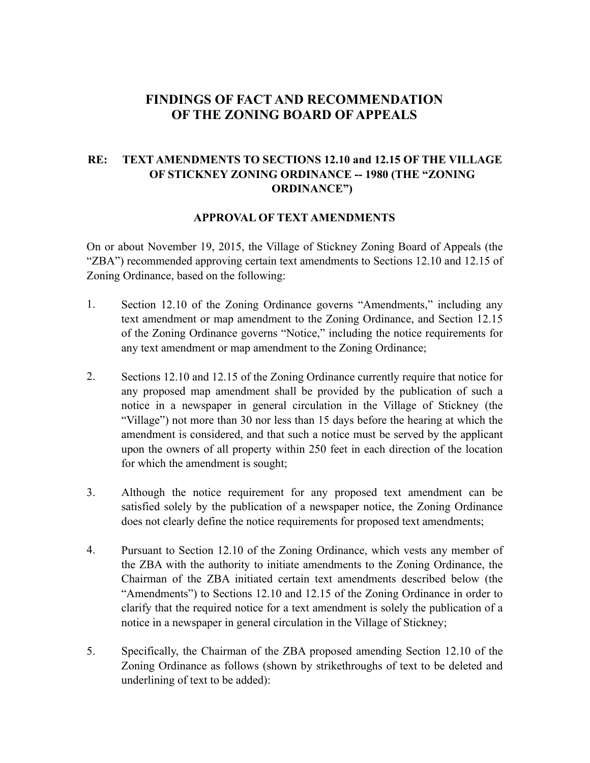## **FINDINGS OF FACT AND RECOMMENDATION OF THE ZONING BOARD OF APPEALS**

## **RE: TEXT AMENDMENTS TO SECTIONS 12.10 and 12.15 OF THE VILLAGE OF STICKNEY ZONING ORDINANCE -- 1980 (THE "ZONING ORDINANCE")**

## **APPROVAL OF TEXT AMENDMENTS**

On or about November 19, 2015, the Village of Stickney Zoning Board of Appeals (the "ZBA") recommended approving certain text amendments to Sections 12.10 and 12.15 of Zoning Ordinance, based on the following:

- 1. Section 12.10 of the Zoning Ordinance governs "Amendments," including any text amendment or map amendment to the Zoning Ordinance, and Section 12.15 of the Zoning Ordinance governs "Notice," including the notice requirements for any text amendment or map amendment to the Zoning Ordinance;
- 2. Sections 12.10 and 12.15 of the Zoning Ordinance currently require that notice for any proposed map amendment shall be provided by the publication of such a notice in a newspaper in general circulation in the Village of Stickney (the "Village") not more than 30 nor less than 15 days before the hearing at which the amendment is considered, and that such a notice must be served by the applicant upon the owners of all property within 250 feet in each direction of the location for which the amendment is sought;
- 3. Although the notice requirement for any proposed text amendment can be satisfied solely by the publication of a newspaper notice, the Zoning Ordinance does not clearly define the notice requirements for proposed text amendments;
- 4. Pursuant to Section 12.10 of the Zoning Ordinance, which vests any member of the ZBA with the authority to initiate amendments to the Zoning Ordinance, the Chairman of the ZBA initiated certain text amendments described below (the "Amendments") to Sections 12.10 and 12.15 of the Zoning Ordinance in order to clarify that the required notice for a text amendment is solely the publication of a notice in a newspaper in general circulation in the Village of Stickney;
- 5. Specifically, the Chairman of the ZBA proposed amending Section 12.10 of the Zoning Ordinance as follows (shown by strikethroughs of text to be deleted and underlining of text to be added):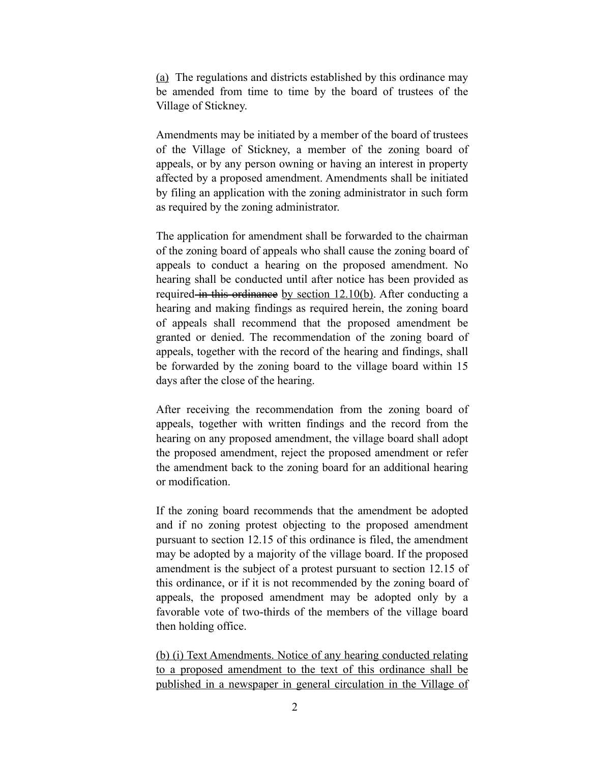(a) The regulations and districts established by this ordinance may be amended from time to time by the board of trustees of the Village of Stickney.

Amendments may be initiated by a member of the board of trustees of the Village of Stickney, a member of the zoning board of appeals, or by any person owning or having an interest in property affected by a proposed amendment. Amendments shall be initiated by filing an application with the zoning administrator in such form as required by the zoning administrator.

The application for amendment shall be forwarded to the chairman of the zoning board of appeals who shall cause the zoning board of appeals to conduct a hearing on the proposed amendment. No hearing shall be conducted until after notice has been provided as required in this ordinance by section 12.10(b). After conducting a hearing and making findings as required herein, the zoning board of appeals shall recommend that the proposed amendment be granted or denied. The recommendation of the zoning board of appeals, together with the record of the hearing and findings, shall be forwarded by the zoning board to the village board within 15 days after the close of the hearing.

After receiving the recommendation from the zoning board of appeals, together with written findings and the record from the hearing on any proposed amendment, the village board shall adopt the proposed amendment, reject the proposed amendment or refer the amendment back to the zoning board for an additional hearing or modification.

If the zoning board recommends that the amendment be adopted and if no zoning protest objecting to the proposed amendment pursuant to section 12.15 of this ordinance is filed, the amendment may be adopted by a majority of the village board. If the proposed amendment is the subject of a protest pursuant to section 12.15 of this ordinance, or if it is not recommended by the zoning board of appeals, the proposed amendment may be adopted only by a favorable vote of two-thirds of the members of the village board then holding office.

(b) (i) Text Amendments. Notice of any hearing conducted relating to a proposed amendment to the text of this ordinance shall be published in a newspaper in general circulation in the Village of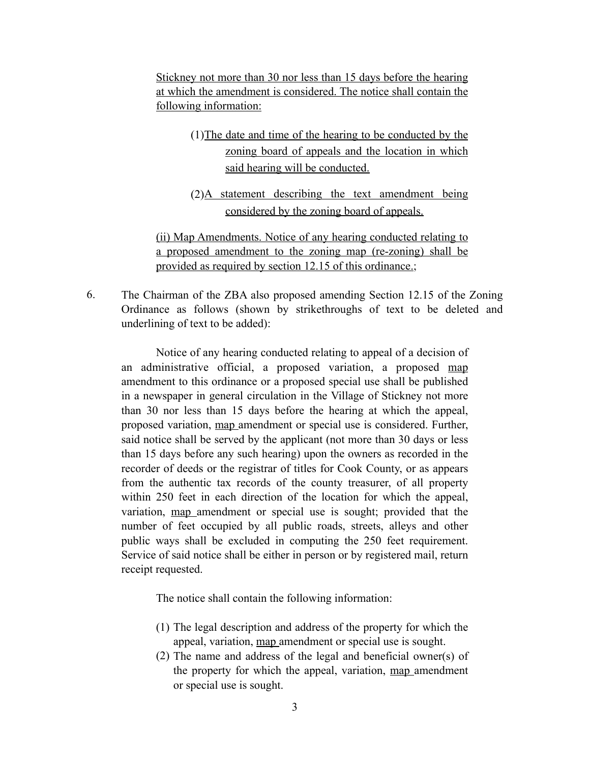Stickney not more than 30 nor less than 15 days before the hearing at which the amendment is considered. The notice shall contain the following information:

> (1)The date and time of the hearing to be conducted by the zoning board of appeals and the location in which said hearing will be conducted.

> (2)A statement describing the text amendment being considered by the zoning board of appeals.

(ii) Map Amendments. Notice of any hearing conducted relating to a proposed amendment to the zoning map (re-zoning) shall be provided as required by section 12.15 of this ordinance.;

6. The Chairman of the ZBA also proposed amending Section 12.15 of the Zoning Ordinance as follows (shown by strikethroughs of text to be deleted and underlining of text to be added):

 Notice of any hearing conducted relating to appeal of a decision of an administrative official, a proposed variation, a proposed map amendment to this ordinance or a proposed special use shall be published in a newspaper in general circulation in the Village of Stickney not more than 30 nor less than 15 days before the hearing at which the appeal, proposed variation, map amendment or special use is considered. Further, said notice shall be served by the applicant (not more than 30 days or less than 15 days before any such hearing) upon the owners as recorded in the recorder of deeds or the registrar of titles for Cook County, or as appears from the authentic tax records of the county treasurer, of all property within 250 feet in each direction of the location for which the appeal, variation, map amendment or special use is sought; provided that the number of feet occupied by all public roads, streets, alleys and other public ways shall be excluded in computing the 250 feet requirement. Service of said notice shall be either in person or by registered mail, return receipt requested.

The notice shall contain the following information:

- (1) The legal description and address of the property for which the appeal, variation, map amendment or special use is sought.
- (2) The name and address of the legal and beneficial owner(s) of the property for which the appeal, variation, map amendment or special use is sought.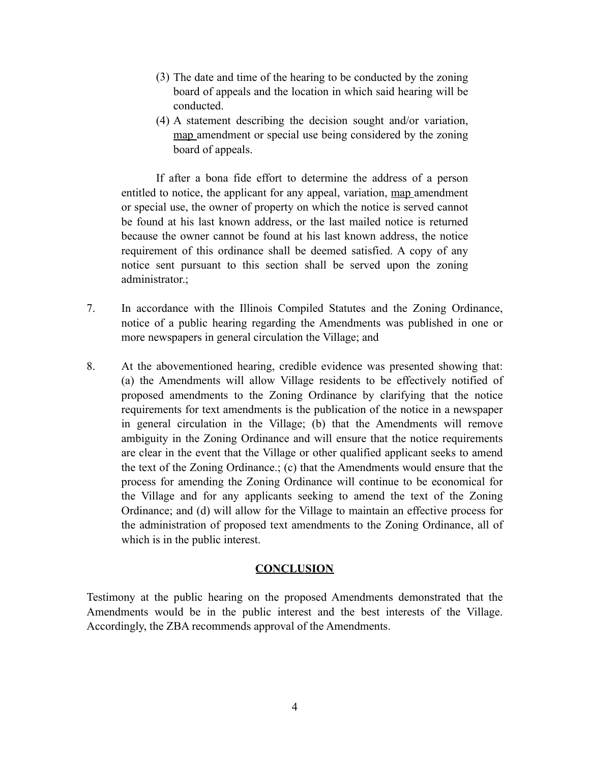- (3) The date and time of the hearing to be conducted by the zoning board of appeals and the location in which said hearing will be conducted.
- (4) A statement describing the decision sought and/or variation, map amendment or special use being considered by the zoning board of appeals.

 If after a bona fide effort to determine the address of a person entitled to notice, the applicant for any appeal, variation, map amendment or special use, the owner of property on which the notice is served cannot be found at his last known address, or the last mailed notice is returned because the owner cannot be found at his last known address, the notice requirement of this ordinance shall be deemed satisfied. A copy of any notice sent pursuant to this section shall be served upon the zoning administrator.;

- 7. In accordance with the Illinois Compiled Statutes and the Zoning Ordinance, notice of a public hearing regarding the Amendments was published in one or more newspapers in general circulation the Village; and
- 8. At the abovementioned hearing, credible evidence was presented showing that: (a) the Amendments will allow Village residents to be effectively notified of proposed amendments to the Zoning Ordinance by clarifying that the notice requirements for text amendments is the publication of the notice in a newspaper in general circulation in the Village; (b) that the Amendments will remove ambiguity in the Zoning Ordinance and will ensure that the notice requirements are clear in the event that the Village or other qualified applicant seeks to amend the text of the Zoning Ordinance.; (c) that the Amendments would ensure that the process for amending the Zoning Ordinance will continue to be economical for the Village and for any applicants seeking to amend the text of the Zoning Ordinance; and (d) will allow for the Village to maintain an effective process for the administration of proposed text amendments to the Zoning Ordinance, all of which is in the public interest.

## **CONCLUSION**

Testimony at the public hearing on the proposed Amendments demonstrated that the Amendments would be in the public interest and the best interests of the Village. Accordingly, the ZBA recommends approval of the Amendments.